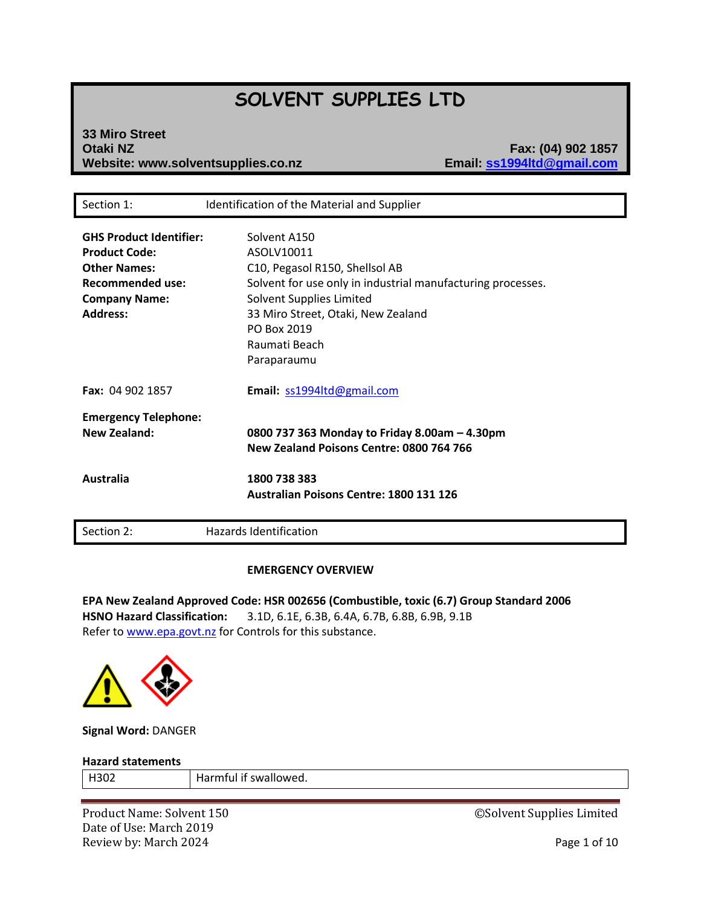# **SOLVENT SUPPLIES LTD**

# **33 Miro Street Otaki NZ Fax: (04) 902 1857 Website: www.solventsupplies.co.nz**

| <b>GHS Product Identifier:</b><br>Solvent A150<br><b>Product Code:</b><br>ASOLV10011<br><b>Other Names:</b><br>C10, Pegasol R150, Shellsol AB<br><b>Recommended use:</b><br>Solvent for use only in industrial manufacturing processes.<br>Solvent Supplies Limited<br><b>Company Name:</b> |  |
|---------------------------------------------------------------------------------------------------------------------------------------------------------------------------------------------------------------------------------------------------------------------------------------------|--|
|                                                                                                                                                                                                                                                                                             |  |
|                                                                                                                                                                                                                                                                                             |  |
|                                                                                                                                                                                                                                                                                             |  |
|                                                                                                                                                                                                                                                                                             |  |
|                                                                                                                                                                                                                                                                                             |  |
|                                                                                                                                                                                                                                                                                             |  |
| <b>Address:</b><br>33 Miro Street, Otaki, New Zealand                                                                                                                                                                                                                                       |  |
| PO Box 2019                                                                                                                                                                                                                                                                                 |  |
| Raumati Beach                                                                                                                                                                                                                                                                               |  |
| Paraparaumu                                                                                                                                                                                                                                                                                 |  |
| <b>Fax: 04 902 1857</b><br>Email: ss1994ltd@gmail.com                                                                                                                                                                                                                                       |  |
| <b>Emergency Telephone:</b>                                                                                                                                                                                                                                                                 |  |
| <b>New Zealand:</b><br>0800 737 363 Monday to Friday 8.00am - 4.30pm                                                                                                                                                                                                                        |  |
| New Zealand Poisons Centre: 0800 764 766                                                                                                                                                                                                                                                    |  |
| <b>Australia</b><br>1800 738 383                                                                                                                                                                                                                                                            |  |
| <b>Australian Poisons Centre: 1800 131 126</b>                                                                                                                                                                                                                                              |  |
| <b>Hazards Identification</b><br>Section 2:                                                                                                                                                                                                                                                 |  |

# **EMERGENCY OVERVIEW**

**EPA New Zealand Approved Code: HSR 002656 (Combustible, toxic (6.7) Group Standard 2006 HSNO Hazard Classification:** 3.1D, 6.1E, 6.3B, 6.4A, 6.7B, 6.8B, 6.9B, 9.1B Refer t[o www.epa.govt.nz](http://www.epa.govt.nz/) for Controls for this substance.



**Signal Word:** DANGER

#### **Hazard statements**

| <b>H302</b> | Harmful if swallowed. |
|-------------|-----------------------|
|-------------|-----------------------|

Product Name: Solvent 150 **Decision 150** CSolvent Supplies Limited Date of Use: March 2019 Review by: March 2024 **Page 1 of 10**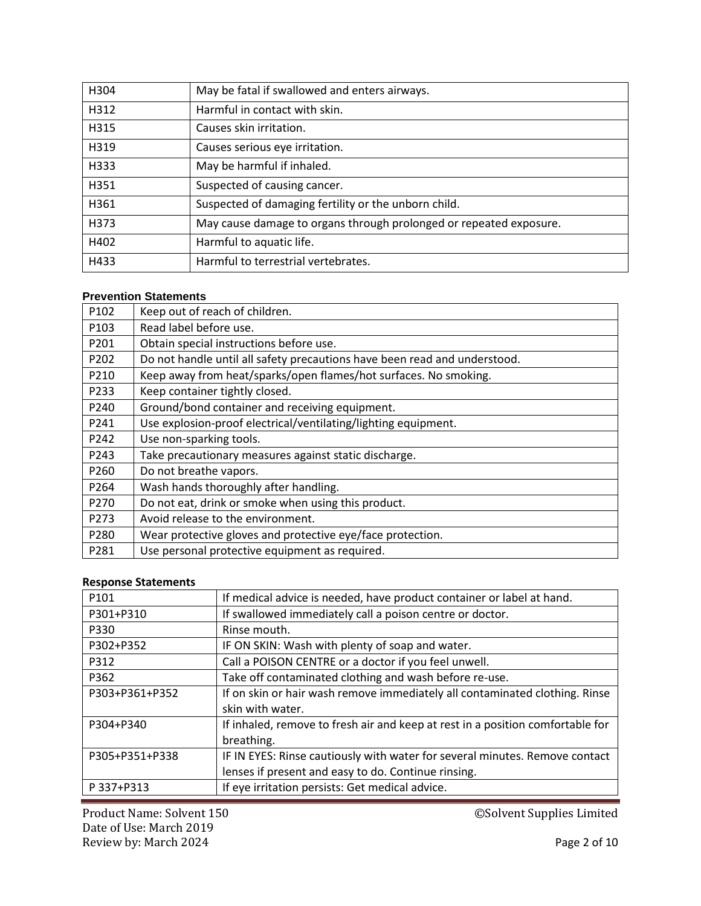| H304 | May be fatal if swallowed and enters airways.                      |
|------|--------------------------------------------------------------------|
| H312 | Harmful in contact with skin.                                      |
| H315 | Causes skin irritation.                                            |
| H319 | Causes serious eye irritation.                                     |
| H333 | May be harmful if inhaled.                                         |
| H351 | Suspected of causing cancer.                                       |
| H361 | Suspected of damaging fertility or the unborn child.               |
| H373 | May cause damage to organs through prolonged or repeated exposure. |
| H402 | Harmful to aquatic life.                                           |
| H433 | Harmful to terrestrial vertebrates.                                |

# **Prevention Statements**

| P102             | Keep out of reach of children.                                            |
|------------------|---------------------------------------------------------------------------|
| P <sub>103</sub> | Read label before use.                                                    |
| P201             | Obtain special instructions before use.                                   |
| P202             | Do not handle until all safety precautions have been read and understood. |
| P210             | Keep away from heat/sparks/open flames/hot surfaces. No smoking.          |
| P233             | Keep container tightly closed.                                            |
| P240             | Ground/bond container and receiving equipment.                            |
| P241             | Use explosion-proof electrical/ventilating/lighting equipment.            |
| P242             | Use non-sparking tools.                                                   |
| P243             | Take precautionary measures against static discharge.                     |
| P260             | Do not breathe vapors.                                                    |
| P264             | Wash hands thoroughly after handling.                                     |
| P270             | Do not eat, drink or smoke when using this product.                       |
| P273             | Avoid release to the environment.                                         |
| P280             | Wear protective gloves and protective eye/face protection.                |
| P281             | Use personal protective equipment as required.                            |

# **Response Statements**

| P101           | If medical advice is needed, have product container or label at hand.          |
|----------------|--------------------------------------------------------------------------------|
| P301+P310      | If swallowed immediately call a poison centre or doctor.                       |
| P330           | Rinse mouth.                                                                   |
| P302+P352      | IF ON SKIN: Wash with plenty of soap and water.                                |
| P312           | Call a POISON CENTRE or a doctor if you feel unwell.                           |
| P362           | Take off contaminated clothing and wash before re-use.                         |
| P303+P361+P352 | If on skin or hair wash remove immediately all contaminated clothing. Rinse    |
|                | skin with water.                                                               |
| P304+P340      | If inhaled, remove to fresh air and keep at rest in a position comfortable for |
|                | breathing.                                                                     |
| P305+P351+P338 | IF IN EYES: Rinse cautiously with water for several minutes. Remove contact    |
|                | lenses if present and easy to do. Continue rinsing.                            |
| P 337+P313     | If eye irritation persists: Get medical advice.                                |

Product Name: Solvent 150 **Droduct Name: Solvent 150** CSolvent Supplies Limited Date of Use: March 2019 Review by: March 2024 **Page 2 of 10**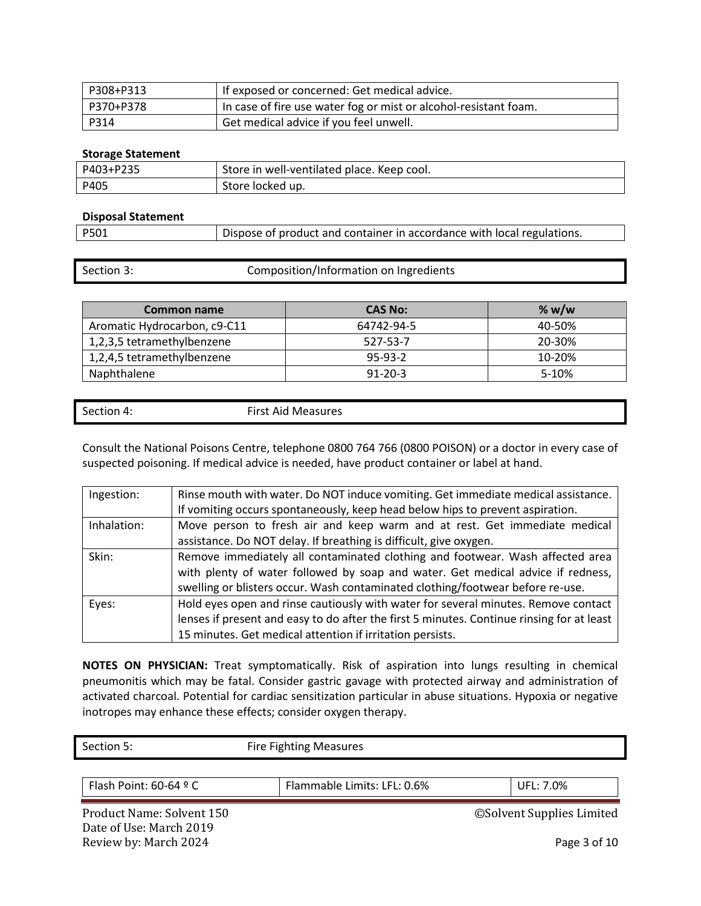| P308+P313 | If exposed or concerned: Get medical advice.                     |
|-----------|------------------------------------------------------------------|
| P370+P378 | In case of fire use water fog or mist or alcohol-resistant foam. |
| P314      | Get medical advice if you feel unwell.                           |

# **Storage Statement**

| P403+P235 | Store in well-ventilated place. Keep cool. |
|-----------|--------------------------------------------|
| P405      | Store locked up.                           |

#### **Disposal Statement**

| P501 | Dispose of product and container in accordance with local regulations. |
|------|------------------------------------------------------------------------|
|      |                                                                        |

|  | Section 3: | Composition/Information on Ingredients |
|--|------------|----------------------------------------|
|--|------------|----------------------------------------|

| Common name                  | <b>CAS No:</b> | % $w/w$ |
|------------------------------|----------------|---------|
| Aromatic Hydrocarbon, c9-C11 | 64742-94-5     | 40-50%  |
| 1,2,3,5 tetramethylbenzene   | 527-53-7       | 20-30%  |
| 1,2,4,5 tetramethylbenzene   | $95-93-2$      | 10-20%  |
| Naphthalene                  | $91 - 20 - 3$  | $5-10%$ |

| Section 4. | First Air<br>: Aid Measures<br>. |
|------------|----------------------------------|
|            |                                  |

Consult the National Poisons Centre, telephone 0800 764 766 (0800 POISON) or a doctor in every case of suspected poisoning. If medical advice is needed, have product container or label at hand.

| Ingestion:  | Rinse mouth with water. Do NOT induce vomiting. Get immediate medical assistance.         |
|-------------|-------------------------------------------------------------------------------------------|
|             | If vomiting occurs spontaneously, keep head below hips to prevent aspiration.             |
| Inhalation: | Move person to fresh air and keep warm and at rest. Get immediate medical                 |
|             | assistance. Do NOT delay. If breathing is difficult, give oxygen.                         |
| Skin:       | Remove immediately all contaminated clothing and footwear. Wash affected area             |
|             | with plenty of water followed by soap and water. Get medical advice if redness,           |
|             | swelling or blisters occur. Wash contaminated clothing/footwear before re-use.            |
| Eyes:       | Hold eyes open and rinse cautiously with water for several minutes. Remove contact        |
|             | lenses if present and easy to do after the first 5 minutes. Continue rinsing for at least |
|             | 15 minutes. Get medical attention if irritation persists.                                 |

**NOTES ON PHYSICIAN:** Treat symptomatically. Risk of aspiration into lungs resulting in chemical pneumonitis which may be fatal. Consider gastric gavage with protected airway and administration of activated charcoal. Potential for cardiac sensitization particular in abuse situations. Hypoxia or negative inotropes may enhance these effects; consider oxygen therapy.

Section 5: Fire Fighting Measures

Flash Point: 60-64 ° C | Flammable Limits: LFL: 0.6% | UFL: 7.0%

Date of Use: March 2019 Review by: March 2024 **Page 3 of 10** 

Product Name: Solvent 150 **Decision Supplies Accord Supplies Limited** CSolvent Supplies Limited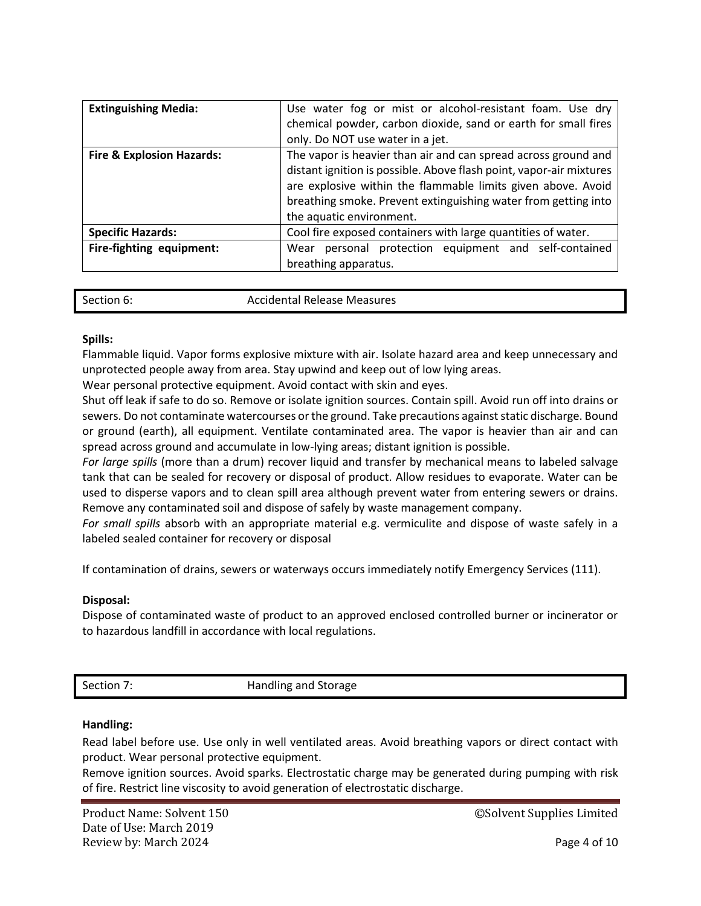| <b>Extinguishing Media:</b>          | Use water fog or mist or alcohol-resistant foam. Use dry<br>chemical powder, carbon dioxide, sand or earth for small fires<br>only. Do NOT use water in a jet.                                                                                                                                      |  |  |  |
|--------------------------------------|-----------------------------------------------------------------------------------------------------------------------------------------------------------------------------------------------------------------------------------------------------------------------------------------------------|--|--|--|
| <b>Fire &amp; Explosion Hazards:</b> | The vapor is heavier than air and can spread across ground and<br>distant ignition is possible. Above flash point, vapor-air mixtures<br>are explosive within the flammable limits given above. Avoid<br>breathing smoke. Prevent extinguishing water from getting into<br>the aquatic environment. |  |  |  |
| <b>Specific Hazards:</b>             | Cool fire exposed containers with large quantities of water.                                                                                                                                                                                                                                        |  |  |  |
| Fire-fighting equipment:             | personal protection equipment and self-contained<br>Wear<br>breathing apparatus.                                                                                                                                                                                                                    |  |  |  |

| Section 6:<br><b>Accidental Release Measures</b> |  |
|--------------------------------------------------|--|
|--------------------------------------------------|--|

# **Spills:**

Flammable liquid. Vapor forms explosive mixture with air. Isolate hazard area and keep unnecessary and unprotected people away from area. Stay upwind and keep out of low lying areas.

Wear personal protective equipment. Avoid contact with skin and eyes.

Shut off leak if safe to do so. Remove or isolate ignition sources. Contain spill. Avoid run off into drains or sewers. Do not contaminate watercourses or the ground. Take precautions against static discharge. Bound or ground (earth), all equipment. Ventilate contaminated area. The vapor is heavier than air and can spread across ground and accumulate in low-lying areas; distant ignition is possible.

*For large spills* (more than a drum) recover liquid and transfer by mechanical means to labeled salvage tank that can be sealed for recovery or disposal of product. Allow residues to evaporate. Water can be used to disperse vapors and to clean spill area although prevent water from entering sewers or drains. Remove any contaminated soil and dispose of safely by waste management company.

*For small spills* absorb with an appropriate material e.g. vermiculite and dispose of waste safely in a labeled sealed container for recovery or disposal

If contamination of drains, sewers or waterways occurs immediately notify Emergency Services (111).

# **Disposal:**

Dispose of contaminated waste of product to an approved enclosed controlled burner or incinerator or to hazardous landfill in accordance with local regulations.

Section 7: **Handling and Storage** 

# **Handling:**

Read label before use. Use only in well ventilated areas. Avoid breathing vapors or direct contact with product. Wear personal protective equipment.

Remove ignition sources. Avoid sparks. Electrostatic charge may be generated during pumping with risk of fire. Restrict line viscosity to avoid generation of electrostatic discharge.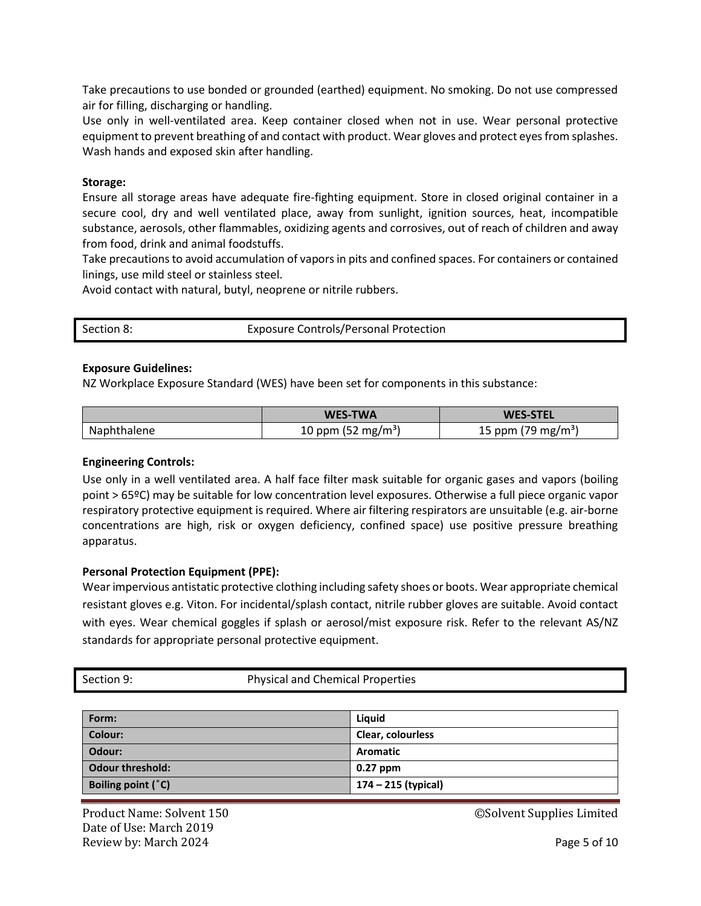Take precautions to use bonded or grounded (earthed) equipment. No smoking. Do not use compressed air for filling, discharging or handling.

Use only in well-ventilated area. Keep container closed when not in use. Wear personal protective equipment to prevent breathing of and contact with product. Wear gloves and protect eyes from splashes. Wash hands and exposed skin after handling.

# **Storage:**

Ensure all storage areas have adequate fire-fighting equipment. Store in closed original container in a secure cool, dry and well ventilated place, away from sunlight, ignition sources, heat, incompatible substance, aerosols, other flammables, oxidizing agents and corrosives, out of reach of children and away from food, drink and animal foodstuffs.

Take precautions to avoid accumulation of vaporsin pits and confined spaces. For containers or contained linings, use mild steel or stainless steel.

Avoid contact with natural, butyl, neoprene or nitrile rubbers.

| Section 8: | <b>Exposure Controls/Personal Protection</b> |
|------------|----------------------------------------------|
|            |                                              |

# **Exposure Guidelines:**

NZ Workplace Exposure Standard (WES) have been set for components in this substance:

|             | <b>WES-TWA</b>                 | <b>WES-STEL</b>                |  |
|-------------|--------------------------------|--------------------------------|--|
| Naphthalene | 10 ppm (52 mg/m <sup>3</sup> ) | 15 ppm (79 mg/m <sup>3</sup> ) |  |

# **Engineering Controls:**

Use only in a well ventilated area. A half face filter mask suitable for organic gases and vapors (boiling point > 65ºC) may be suitable for low concentration level exposures. Otherwise a full piece organic vapor respiratory protective equipment is required. Where air filtering respirators are unsuitable (e.g. air-borne concentrations are high, risk or oxygen deficiency, confined space) use positive pressure breathing apparatus.

# **Personal Protection Equipment (PPE):**

Wear impervious antistatic protective clothing including safety shoes or boots. Wear appropriate chemical resistant gloves e.g. Viton. For incidental/splash contact, nitrile rubber gloves are suitable. Avoid contact with eyes. Wear chemical goggles if splash or aerosol/mist exposure risk. Refer to the relevant AS/NZ standards for appropriate personal protective equipment.

| Section 9: | <b>Physical and Chemical Properties</b> |
|------------|-----------------------------------------|
|            |                                         |

| Form:                   | Liguid              |
|-------------------------|---------------------|
| <b>Colour:</b>          | Clear, colourless   |
| Odour:                  | <b>Aromatic</b>     |
| <b>Odour threshold:</b> | $0.27$ ppm          |
| Boiling point (°C)      | 174 – 215 (typical) |

Date of Use: March 2019 Review by: March 2024 **Page 5 of 10** 

Product Name: Solvent 150 **Decision Supplies Accord Supplies Limited** CSolvent Supplies Limited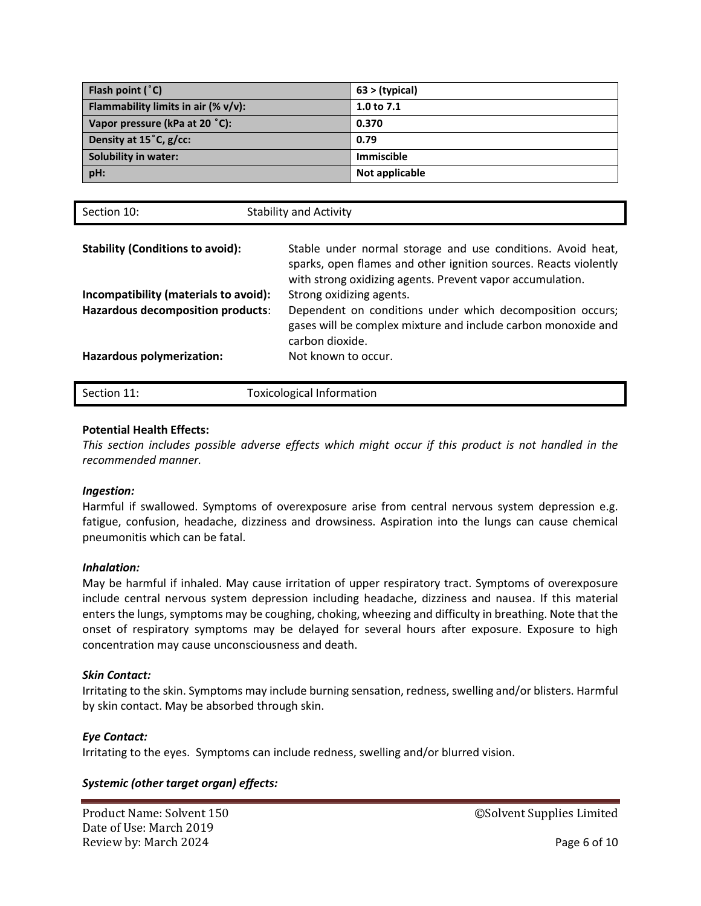| Flash point $(°C)$                      | $63 >$ (typical)  |
|-----------------------------------------|-------------------|
| Flammability limits in air $(\% v/v)$ : | 1.0 to $7.1$      |
| Vapor pressure (kPa at 20 °C):          | 0.370             |
| Density at 15°C, g/cc:                  | 0.79              |
| Solubility in water:                    | <b>Immiscible</b> |
| pH:                                     | Not applicable    |

| Section 10:                                                                | <b>Stability and Activity</b>                                                                                                                                                                |
|----------------------------------------------------------------------------|----------------------------------------------------------------------------------------------------------------------------------------------------------------------------------------------|
| <b>Stability (Conditions to avoid):</b>                                    | Stable under normal storage and use conditions. Avoid heat,<br>sparks, open flames and other ignition sources. Reacts violently<br>with strong oxidizing agents. Prevent vapor accumulation. |
| Incompatibility (materials to avoid):<br>Hazardous decomposition products: | Strong oxidizing agents.<br>Dependent on conditions under which decomposition occurs;<br>gases will be complex mixture and include carbon monoxide and<br>carbon dioxide.                    |
| Hazardous polymerization:                                                  | Not known to occur.                                                                                                                                                                          |
| Section 11:                                                                | <b>Toxicological Information</b>                                                                                                                                                             |

# **Potential Health Effects:**

*This section includes possible adverse effects which might occur if this product is not handled in the recommended manner.*

# *Ingestion:*

Harmful if swallowed. Symptoms of overexposure arise from central nervous system depression e.g. fatigue, confusion, headache, dizziness and drowsiness. Aspiration into the lungs can cause chemical pneumonitis which can be fatal.

# *Inhalation:*

May be harmful if inhaled. May cause irritation of upper respiratory tract. Symptoms of overexposure include central nervous system depression including headache, dizziness and nausea. If this material enters the lungs, symptoms may be coughing, choking, wheezing and difficulty in breathing. Note that the onset of respiratory symptoms may be delayed for several hours after exposure. Exposure to high concentration may cause unconsciousness and death.

# *Skin Contact:*

Irritating to the skin. Symptoms may include burning sensation, redness, swelling and/or blisters. Harmful by skin contact. May be absorbed through skin.

# *Eye Contact:*

Irritating to the eyes. Symptoms can include redness, swelling and/or blurred vision.

# *Systemic (other target organ) effects:*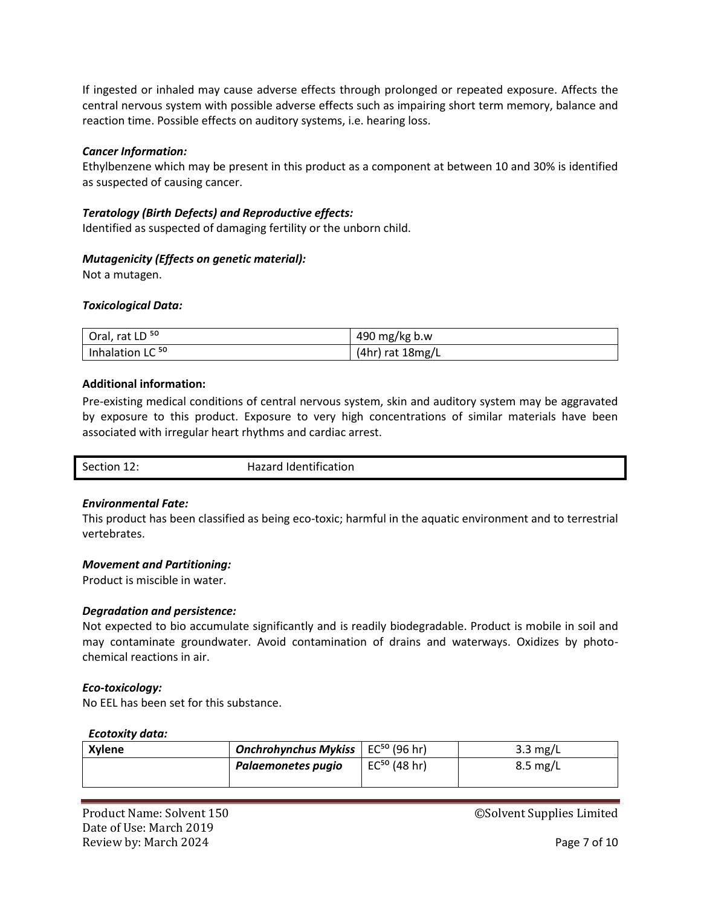If ingested or inhaled may cause adverse effects through prolonged or repeated exposure. Affects the central nervous system with possible adverse effects such as impairing short term memory, balance and reaction time. Possible effects on auditory systems, i.e. hearing loss.

# *Cancer Information:*

Ethylbenzene which may be present in this product as a component at between 10 and 30% is identified as suspected of causing cancer.

# *Teratology (Birth Defects) and Reproductive effects:*

Identified as suspected of damaging fertility or the unborn child.

# *Mutagenicity (Effects on genetic material):*

Not a mutagen.

# *Toxicological Data:*

| Oral, rat LD <sup>50</sup>  | 490 mg/kg b.w      |
|-----------------------------|--------------------|
| Inhalation LC <sup>50</sup> | $(4hr)$ rat 18mg/L |

# **Additional information:**

Pre-existing medical conditions of central nervous system, skin and auditory system may be aggravated by exposure to this product. Exposure to very high concentrations of similar materials have been associated with irregular heart rhythms and cardiac arrest.

| Hazard Identification<br>Section 12<br>ᅭᄼ |
|-------------------------------------------|
|-------------------------------------------|

# *Environmental Fate:*

This product has been classified as being eco-toxic; harmful in the aquatic environment and to terrestrial vertebrates.

# *Movement and Partitioning:*

Product is miscible in water.

# *Degradation and persistence:*

Not expected to bio accumulate significantly and is readily biodegradable. Product is mobile in soil and may contaminate groundwater. Avoid contamination of drains and waterways. Oxidizes by photochemical reactions in air.

# *Eco-toxicology:*

No EEL has been set for this substance.

# *Ecotoxity data:*

| <b>Xylene</b> | <b>Onchrohynchus Mykiss</b>   EC <sup>50</sup> (96 hr) |                   | $3.3 \text{ mg/L}$ |
|---------------|--------------------------------------------------------|-------------------|--------------------|
|               | Palaemonetes pugio                                     | $EC^{50}$ (48 hr) | $8.5 \text{ mg/L}$ |
|               |                                                        |                   |                    |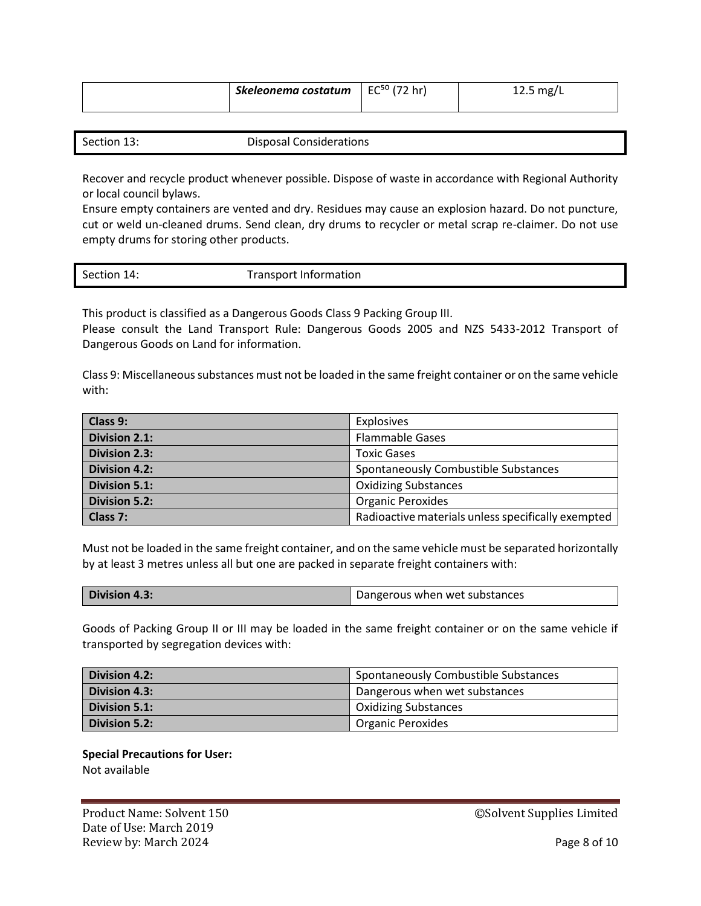| Skeleonema costatum   EC <sup>50</sup> (72 hr) | $12.5 \text{ mg/L}$ |
|------------------------------------------------|---------------------|
|                                                |                     |

| Section 13: | Disposal Considerations |
|-------------|-------------------------|

Recover and recycle product whenever possible. Dispose of waste in accordance with Regional Authority or local council bylaws.

Ensure empty containers are vented and dry. Residues may cause an explosion hazard. Do not puncture, cut or weld un-cleaned drums. Send clean, dry drums to recycler or metal scrap re-claimer. Do not use empty drums for storing other products.

This product is classified as a Dangerous Goods Class 9 Packing Group III.

Please consult the Land Transport Rule: Dangerous Goods 2005 and NZS 5433-2012 Transport of Dangerous Goods on Land for information.

Class 9: Miscellaneous substances must not be loaded in the same freight container or on the same vehicle with:

| Class 9:             | Explosives                                         |
|----------------------|----------------------------------------------------|
| <b>Division 2.1:</b> | <b>Flammable Gases</b>                             |
| <b>Division 2.3:</b> | <b>Toxic Gases</b>                                 |
| <b>Division 4.2:</b> | Spontaneously Combustible Substances               |
| <b>Division 5.1:</b> | <b>Oxidizing Substances</b>                        |
| <b>Division 5.2:</b> | <b>Organic Peroxides</b>                           |
| Class 7:             | Radioactive materials unless specifically exempted |

Must not be loaded in the same freight container, and on the same vehicle must be separated horizontally by at least 3 metres unless all but one are packed in separate freight containers with:

| Division 4.3: | Dangerous when wet substances |
|---------------|-------------------------------|
|               |                               |

Goods of Packing Group II or III may be loaded in the same freight container or on the same vehicle if transported by segregation devices with:

| Division 4.2: | Spontaneously Combustible Substances |
|---------------|--------------------------------------|
| Division 4.3: | Dangerous when wet substances        |
| Division 5.1: | <b>Oxidizing Substances</b>          |
| Division 5.2: | <b>Organic Peroxides</b>             |

**Special Precautions for User:**  Not available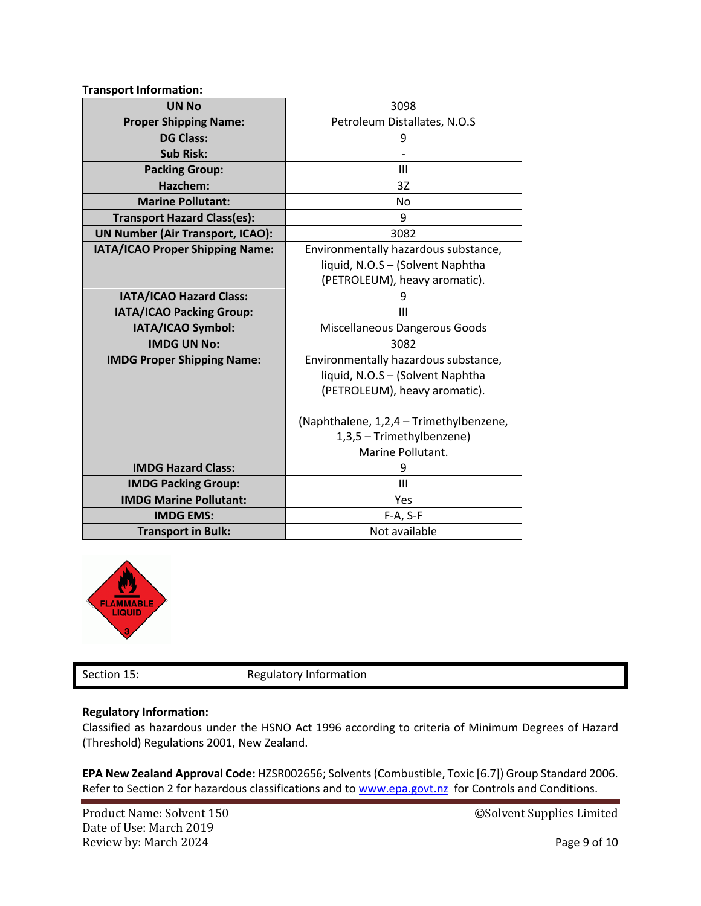| <b>Transport Information:</b>           |                                         |
|-----------------------------------------|-----------------------------------------|
| <b>UN No</b>                            | 3098                                    |
| <b>Proper Shipping Name:</b>            | Petroleum Distallates, N.O.S            |
| <b>DG Class:</b>                        | 9                                       |
| <b>Sub Risk:</b>                        |                                         |
| <b>Packing Group:</b>                   | Ш                                       |
| Hazchem:                                | 3Z                                      |
| <b>Marine Pollutant:</b>                | No                                      |
| <b>Transport Hazard Class(es):</b>      | 9                                       |
| <b>UN Number (Air Transport, ICAO):</b> | 3082                                    |
| IATA/ICAO Proper Shipping Name:         | Environmentally hazardous substance,    |
|                                         | liquid, N.O.S - (Solvent Naphtha        |
|                                         | (PETROLEUM), heavy aromatic).           |
| IATA/ICAO Hazard Class:                 | 9                                       |
| IATA/ICAO Packing Group:                | Ш                                       |
| IATA/ICAO Symbol:                       | Miscellaneous Dangerous Goods           |
| <b>IMDG UN No:</b>                      | 3082                                    |
| <b>IMDG Proper Shipping Name:</b>       | Environmentally hazardous substance,    |
|                                         | liquid, N.O.S - (Solvent Naphtha        |
|                                         | (PETROLEUM), heavy aromatic).           |
|                                         |                                         |
|                                         | (Naphthalene, 1,2,4 - Trimethylbenzene, |
|                                         | 1,3,5 - Trimethylbenzene)               |
|                                         | Marine Pollutant.                       |
| <b>IMDG Hazard Class:</b>               | 9                                       |
| <b>IMDG Packing Group:</b>              | Ш                                       |
| <b>IMDG Marine Pollutant:</b>           | Yes                                     |
| <b>IMDG EMS:</b>                        | F-A, S-F                                |
| <b>Transport in Bulk:</b>               | Not available                           |



Section 15: Regulatory Information

# **Regulatory Information:**

Classified as hazardous under the HSNO Act 1996 according to criteria of Minimum Degrees of Hazard (Threshold) Regulations 2001, New Zealand.

**EPA New Zealand Approval Code:** HZSR002656; Solvents (Combustible, Toxic [6.7]) Group Standard 2006. Refer to Section 2 for hazardous classifications and to [www.epa.govt.nz](http://www.epa.govt.nz/) for Controls and Conditions.

Date of Use: March 2019 Review by: March 2024 **Page 9 of 10** 

Product Name: Solvent 150 **Decision Supplies Constant OSSolvent Supplies Limited**